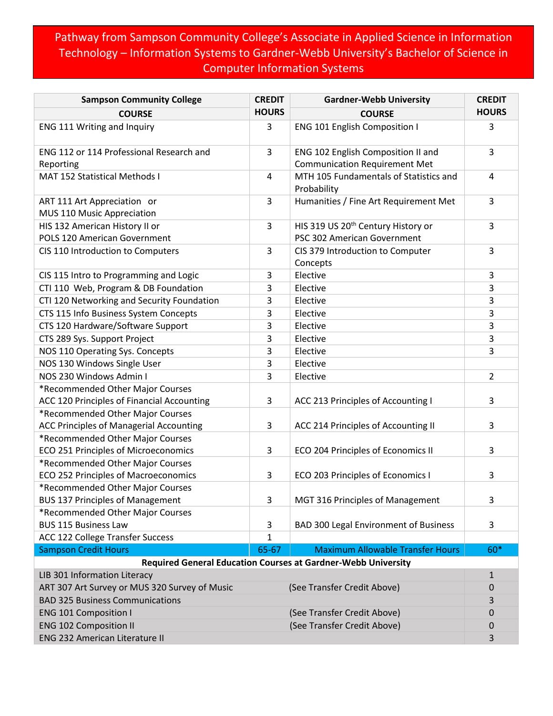## Pathway from Sampson Community College's Associate in Applied Science in Information Technology – Information Systems to Gardner-Webb University's Bachelor of Science in Computer Information Systems

| <b>Sampson Community College</b>               | <b>CREDIT</b> | <b>Gardner-Webb University</b>                                       | <b>CREDIT</b>  |
|------------------------------------------------|---------------|----------------------------------------------------------------------|----------------|
| <b>COURSE</b>                                  | <b>HOURS</b>  | <b>COURSE</b>                                                        | <b>HOURS</b>   |
| ENG 111 Writing and Inquiry                    | 3             | ENG 101 English Composition I                                        | 3              |
| ENG 112 or 114 Professional Research and       | 3             | ENG 102 English Composition II and                                   | 3              |
| Reporting                                      |               | <b>Communication Requirement Met</b>                                 |                |
| <b>MAT 152 Statistical Methods I</b>           | 4             | MTH 105 Fundamentals of Statistics and                               | 4              |
|                                                |               | Probability                                                          |                |
| ART 111 Art Appreciation or                    | 3             | Humanities / Fine Art Requirement Met                                | 3              |
| MUS 110 Music Appreciation                     |               |                                                                      |                |
| HIS 132 American History II or                 | 3             | HIS 319 US 20 <sup>th</sup> Century History or                       | 3              |
| POLS 120 American Government                   |               | PSC 302 American Government                                          |                |
| CIS 110 Introduction to Computers              | 3             | CIS 379 Introduction to Computer                                     | 3              |
|                                                |               | Concepts                                                             |                |
| CIS 115 Intro to Programming and Logic         | 3             | Elective                                                             | 3              |
| CTI 110 Web, Program & DB Foundation           | 3             | Elective                                                             | 3              |
| CTI 120 Networking and Security Foundation     | 3             | Elective                                                             | 3              |
| CTS 115 Info Business System Concepts          | 3             | Elective                                                             | 3              |
| CTS 120 Hardware/Software Support              | 3             | Elective                                                             | 3              |
| CTS 289 Sys. Support Project                   | 3             | Elective                                                             | 3              |
| NOS 110 Operating Sys. Concepts                | 3             | Elective                                                             | 3              |
| NOS 130 Windows Single User                    | 3             | Elective                                                             |                |
| NOS 230 Windows Admin I                        | 3             | Elective                                                             | $\overline{2}$ |
| *Recommended Other Major Courses               |               |                                                                      |                |
| ACC 120 Principles of Financial Accounting     | 3             | ACC 213 Principles of Accounting I                                   | 3              |
| *Recommended Other Major Courses               |               |                                                                      |                |
| <b>ACC Principles of Managerial Accounting</b> | 3             | ACC 214 Principles of Accounting II                                  | 3              |
| *Recommended Other Major Courses               |               |                                                                      |                |
| ECO 251 Principles of Microeconomics           | 3             | ECO 204 Principles of Economics II                                   | 3              |
| *Recommended Other Major Courses               |               |                                                                      |                |
| ECO 252 Principles of Macroeconomics           | 3             | ECO 203 Principles of Economics I                                    | 3              |
| *Recommended Other Major Courses               |               |                                                                      |                |
| <b>BUS 137 Principles of Management</b>        | 3             | MGT 316 Principles of Management                                     | 3              |
| *Recommended Other Major Courses               |               |                                                                      |                |
| <b>BUS 115 Business Law</b>                    | 3             | <b>BAD 300 Legal Environment of Business</b>                         | 3              |
| ACC 122 College Transfer Success               | $\mathbf{1}$  |                                                                      |                |
| <b>Sampson Credit Hours</b>                    | 65-67         | <b>Maximum Allowable Transfer Hours</b>                              | 60*            |
|                                                |               | <b>Required General Education Courses at Gardner-Webb University</b> |                |
| LIB 301 Information Literacy                   |               |                                                                      | $\mathbf{1}$   |
| ART 307 Art Survey or MUS 320 Survey of Music  |               | (See Transfer Credit Above)                                          | $\mathbf 0$    |
| <b>BAD 325 Business Communications</b>         |               |                                                                      | 3              |
| <b>ENG 101 Composition I</b>                   |               | (See Transfer Credit Above)                                          | 0              |
| <b>ENG 102 Composition II</b>                  |               | (See Transfer Credit Above)                                          | $\mathbf 0$    |
| <b>ENG 232 American Literature II</b>          |               |                                                                      | 3              |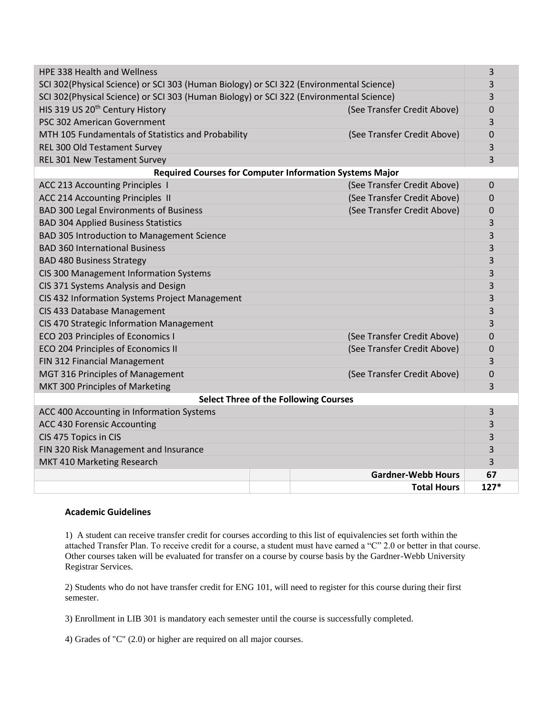| <b>HPE 338 Health and Wellness</b>                                                      |  |                             | 3           |  |  |
|-----------------------------------------------------------------------------------------|--|-----------------------------|-------------|--|--|
| SCI 302(Physical Science) or SCI 303 (Human Biology) or SCI 322 (Environmental Science) |  |                             | 3           |  |  |
| SCI 302(Physical Science) or SCI 303 (Human Biology) or SCI 322 (Environmental Science) |  |                             | 3           |  |  |
| HIS 319 US 20 <sup>th</sup> Century History                                             |  | (See Transfer Credit Above) | 0           |  |  |
| PSC 302 American Government                                                             |  |                             | 3           |  |  |
| MTH 105 Fundamentals of Statistics and Probability                                      |  | (See Transfer Credit Above) | 0           |  |  |
| REL 300 Old Testament Survey                                                            |  |                             | 3           |  |  |
| <b>REL 301 New Testament Survey</b>                                                     |  |                             | 3           |  |  |
| <b>Required Courses for Computer Information Systems Major</b>                          |  |                             |             |  |  |
| ACC 213 Accounting Principles I                                                         |  | (See Transfer Credit Above) | $\Omega$    |  |  |
| ACC 214 Accounting Principles II                                                        |  | (See Transfer Credit Above) | 0           |  |  |
| <b>BAD 300 Legal Environments of Business</b>                                           |  | (See Transfer Credit Above) | $\mathbf 0$ |  |  |
| <b>BAD 304 Applied Business Statistics</b>                                              |  |                             | 3           |  |  |
| BAD 305 Introduction to Management Science                                              |  |                             | 3           |  |  |
| <b>BAD 360 International Business</b>                                                   |  |                             | 3           |  |  |
| <b>BAD 480 Business Strategy</b>                                                        |  |                             | 3           |  |  |
| CIS 300 Management Information Systems                                                  |  |                             | 3           |  |  |
| CIS 371 Systems Analysis and Design                                                     |  |                             | 3           |  |  |
| CIS 432 Information Systems Project Management                                          |  |                             | 3           |  |  |
| CIS 433 Database Management                                                             |  |                             | 3           |  |  |
| CIS 470 Strategic Information Management                                                |  |                             | 3           |  |  |
| ECO 203 Principles of Economics I                                                       |  | (See Transfer Credit Above) | 0           |  |  |
| ECO 204 Principles of Economics II                                                      |  | (See Transfer Credit Above) | 0           |  |  |
| FIN 312 Financial Management                                                            |  |                             | 3           |  |  |
| MGT 316 Principles of Management                                                        |  | (See Transfer Credit Above) | 0           |  |  |
| MKT 300 Principles of Marketing                                                         |  |                             | 3           |  |  |
| <b>Select Three of the Following Courses</b>                                            |  |                             |             |  |  |
| ACC 400 Accounting in Information Systems                                               |  |                             | 3           |  |  |
| ACC 430 Forensic Accounting                                                             |  |                             | 3           |  |  |
| CIS 475 Topics in CIS                                                                   |  |                             | 3           |  |  |
| FIN 320 Risk Management and Insurance                                                   |  |                             | 3           |  |  |
| MKT 410 Marketing Research                                                              |  |                             |             |  |  |
|                                                                                         |  | <b>Gardner-Webb Hours</b>   | 67          |  |  |
|                                                                                         |  | <b>Total Hours</b>          | $127*$      |  |  |

## **Academic Guidelines**

1) A student can receive transfer credit for courses according to this list of equivalencies set forth within the attached Transfer Plan. To receive credit for a course, a student must have earned a "C" 2.0 or better in that course. Other courses taken will be evaluated for transfer on a course by course basis by the Gardner-Webb University Registrar Services.

2) Students who do not have transfer credit for ENG 101, will need to register for this course during their first semester.

3) Enrollment in LIB 301 is mandatory each semester until the course is successfully completed.

4) Grades of "C" (2.0) or higher are required on all major courses.